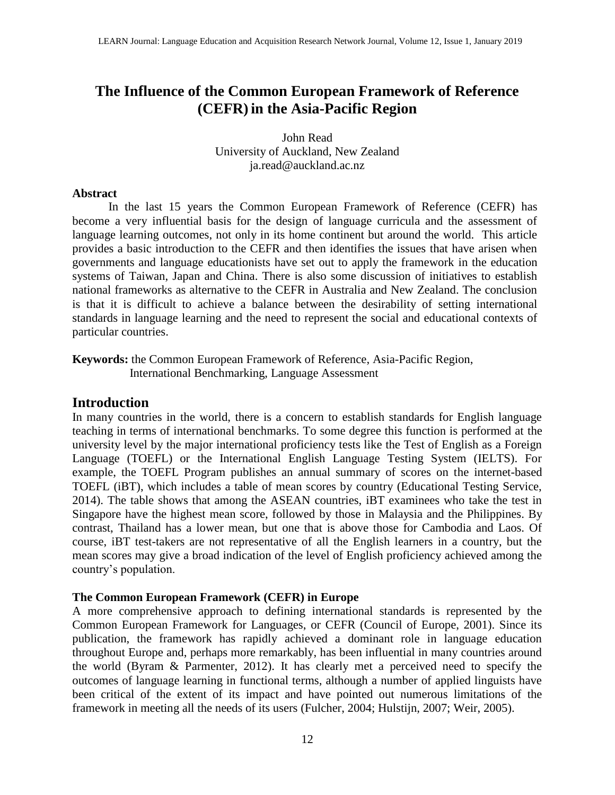# **The Influence of the Common European Framework of Reference (CEFR)in the Asia-Pacific Region**

John Read University of Auckland, New Zealand [ja.read@auckland.ac.nz](mailto:ja.read@auckland.ac.nz)

## **Abstract**

In the last 15 years the Common European Framework of Reference (CEFR) has become a very influential basis for the design of language curricula and the assessment of language learning outcomes, not only in its home continent but around the world. This article provides a basic introduction to the CEFR and then identifies the issues that have arisen when governments and language educationists have set out to apply the framework in the education systems of Taiwan, Japan and China. There is also some discussion of initiatives to establish national frameworks as alternative to the CEFR in Australia and New Zealand. The conclusion is that it is difficult to achieve a balance between the desirability of setting international standards in language learning and the need to represent the social and educational contexts of particular countries.

**Keywords:** the Common European Framework of Reference, Asia-Pacific Region, International Benchmarking, Language Assessment

# **Introduction**

In many countries in the world, there is a concern to establish standards for English language teaching in terms of international benchmarks. To some degree this function is performed at the university level by the major international proficiency tests like the Test of English as a Foreign Language (TOEFL) or the International English Language Testing System (IELTS). For example, the TOEFL Program publishes an annual summary of scores on the internet-based TOEFL (iBT), which includes a table of mean scores by country (Educational Testing Service, 2014). The table shows that among the ASEAN countries, iBT examinees who take the test in Singapore have the highest mean score, followed by those in Malaysia and the Philippines. By contrast, Thailand has a lower mean, but one that is above those for Cambodia and Laos. Of course, iBT test-takers are not representative of all the English learners in a country, but the mean scores may give a broad indication of the level of English proficiency achieved among the country's population.

## **The Common European Framework (CEFR) in Europe**

A more comprehensive approach to defining international standards is represented by the Common European Framework for Languages, or CEFR (Council of Europe, 2001). Since its publication, the framework has rapidly achieved a dominant role in language education throughout Europe and, perhaps more remarkably, has been influential in many countries around the world (Byram & Parmenter, 2012). It has clearly met a perceived need to specify the outcomes of language learning in functional terms, although a number of applied linguists have been critical of the extent of its impact and have pointed out numerous limitations of the framework in meeting all the needs of its users (Fulcher, 2004; Hulstijn, 2007; Weir, 2005).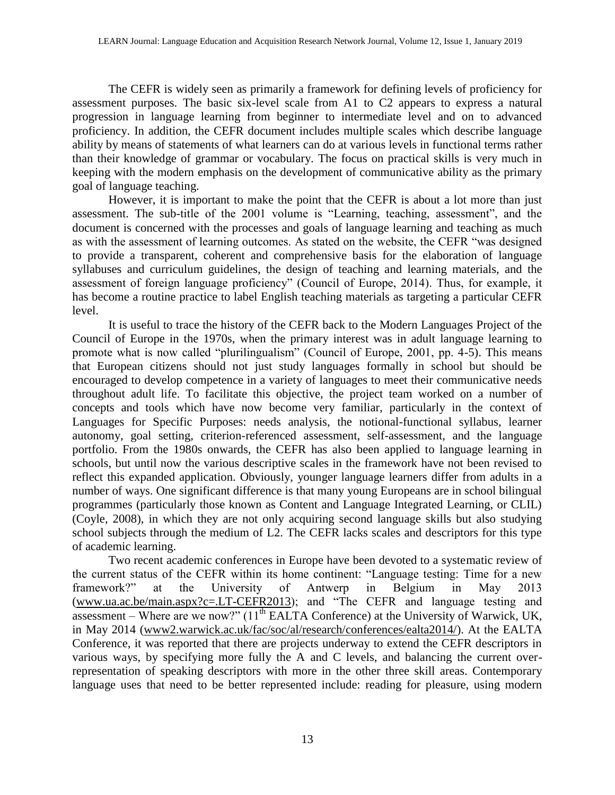The CEFR is widely seen as primarily a framework for defining levels of proficiency for assessment purposes. The basic six-level scale from A1 to C2 appears to express a natural progression in language learning from beginner to intermediate level and on to advanced proficiency. In addition, the CEFR document includes multiple scales which describe language ability by means of statements of what learners can do at various levels in functional terms rather than their knowledge of grammar or vocabulary. The focus on practical skills is very much in keeping with the modern emphasis on the development of communicative ability as the primary goal of language teaching.

However, it is important to make the point that the CEFR is about a lot more than just assessment. The sub-title of the 2001 volume is "Learning, teaching, assessment", and the document is concerned with the processes and goals of language learning and teaching as much as with the assessment of learning outcomes. As stated on the website, the CEFR "was designed to provide a transparent, coherent and comprehensive basis for the elaboration of language syllabuses and curriculum guidelines, the design of teaching and learning materials, and the assessment of foreign language proficiency" (Council of Europe, 2014). Thus, for example, it has become a routine practice to label English teaching materials as targeting a particular CEFR level.

It is useful to trace the history of the CEFR back to the Modern Languages Project of the Council of Europe in the 1970s, when the primary interest was in adult language learning to promote what is now called "plurilingualism" (Council of Europe, 2001, pp. 4-5). This means that European citizens should not just study languages formally in school but should be encouraged to develop competence in a variety of languages to meet their communicative needs throughout adult life. To facilitate this objective, the project team worked on a number of concepts and tools which have now become very familiar, particularly in the context of Languages for Specific Purposes: needs analysis, the notional-functional syllabus, learner autonomy, goal setting, criterion-referenced assessment, self-assessment, and the language portfolio. From the 1980s onwards, the CEFR has also been applied to language learning in schools, but until now the various descriptive scales in the framework have not been revised to reflect this expanded application. Obviously, younger language learners differ from adults in a number of ways. One significant difference is that many young Europeans are in school bilingual programmes (particularly those known as Content and Language Integrated Learning, or CLIL) (Coyle, 2008), in which they are not only acquiring second language skills but also studying school subjects through the medium of L2. The CEFR lacks scales and descriptors for this type of academic learning.

Two recent academic conferences in Europe have been devoted to a systematic review of the current status of the CEFR within its home continent: "Language testing: Time for a new framework?" at the University of Antwerp in Belgium in May 2013 [\(www.ua.ac.be/main.aspx?c=.LT-CEFR2013\)](http://www.ua.ac.be/main.aspx?c=.LT-CEFR2013); and "The CEFR and language testing and assessment – Where are we now?"  $(11<sup>th</sup> EALTA$  Conference) at the University of Warwick, UK, in May 2014 [\(www2.warwick.ac.uk/fac/soc/al/research/conferences/ealta2014/\)](http://www2.warwick.ac.uk/fac/soc/al/research/conferences/ealta2014/). At the EALTA Conference, it was reported that there are projects underway to extend the CEFR descriptors in various ways, by specifying more fully the A and C levels, and balancing the current overrepresentation of speaking descriptors with more in the other three skill areas. Contemporary language uses that need to be better represented include: reading for pleasure, using modern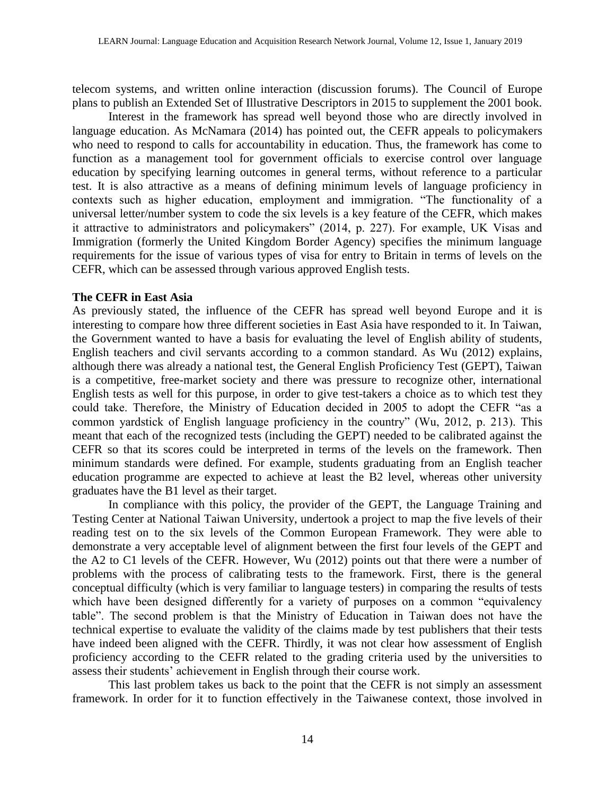telecom systems, and written online interaction (discussion forums). The Council of Europe plans to publish an Extended Set of Illustrative Descriptors in 2015 to supplement the 2001 book.

Interest in the framework has spread well beyond those who are directly involved in language education. As McNamara (2014) has pointed out, the CEFR appeals to policymakers who need to respond to calls for accountability in education. Thus, the framework has come to function as a management tool for government officials to exercise control over language education by specifying learning outcomes in general terms, without reference to a particular test. It is also attractive as a means of defining minimum levels of language proficiency in contexts such as higher education, employment and immigration. "The functionality of a universal letter/number system to code the six levels is a key feature of the CEFR, which makes it attractive to administrators and policymakers" (2014, p. 227). For example, UK Visas and Immigration (formerly the United Kingdom Border Agency) specifies the minimum language requirements for the issue of various types of visa for entry to Britain in terms of levels on the CEFR, which can be assessed through various approved English tests.

#### **The CEFR in East Asia**

As previously stated, the influence of the CEFR has spread well beyond Europe and it is interesting to compare how three different societies in East Asia have responded to it. In Taiwan, the Government wanted to have a basis for evaluating the level of English ability of students, English teachers and civil servants according to a common standard. As Wu (2012) explains, although there was already a national test, the General English Proficiency Test (GEPT), Taiwan is a competitive, free-market society and there was pressure to recognize other, international English tests as well for this purpose, in order to give test-takers a choice as to which test they could take. Therefore, the Ministry of Education decided in 2005 to adopt the CEFR "as a common yardstick of English language proficiency in the country" (Wu, 2012, p. 213). This meant that each of the recognized tests (including the GEPT) needed to be calibrated against the CEFR so that its scores could be interpreted in terms of the levels on the framework. Then minimum standards were defined. For example, students graduating from an English teacher education programme are expected to achieve at least the B2 level, whereas other university graduates have the B1 level as their target.

In compliance with this policy, the provider of the GEPT, the Language Training and Testing Center at National Taiwan University, undertook a project to map the five levels of their reading test on to the six levels of the Common European Framework. They were able to demonstrate a very acceptable level of alignment between the first four levels of the GEPT and the A2 to C1 levels of the CEFR. However, Wu (2012) points out that there were a number of problems with the process of calibrating tests to the framework. First, there is the general conceptual difficulty (which is very familiar to language testers) in comparing the results of tests which have been designed differently for a variety of purposes on a common "equivalency table". The second problem is that the Ministry of Education in Taiwan does not have the technical expertise to evaluate the validity of the claims made by test publishers that their tests have indeed been aligned with the CEFR. Thirdly, it was not clear how assessment of English proficiency according to the CEFR related to the grading criteria used by the universities to assess their students' achievement in English through their course work.

This last problem takes us back to the point that the CEFR is not simply an assessment framework. In order for it to function effectively in the Taiwanese context, those involved in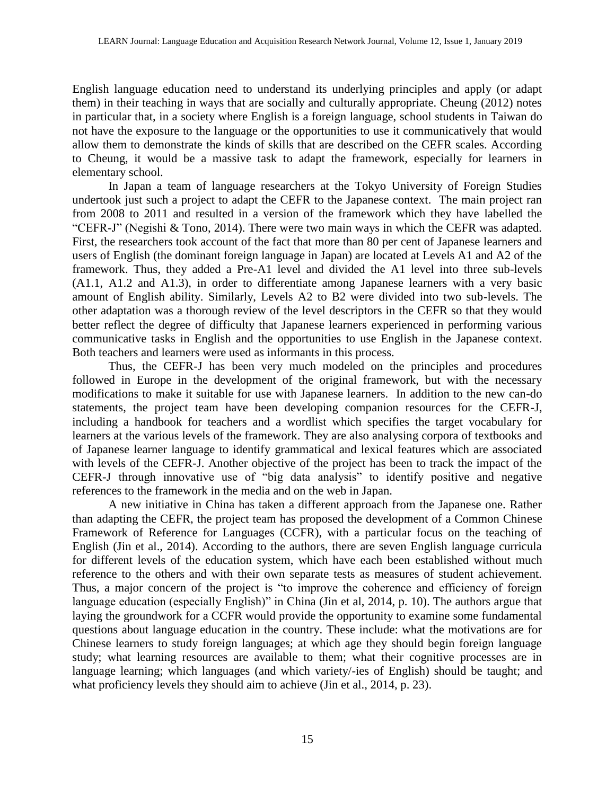English language education need to understand its underlying principles and apply (or adapt them) in their teaching in ways that are socially and culturally appropriate. Cheung (2012) notes in particular that, in a society where English is a foreign language, school students in Taiwan do not have the exposure to the language or the opportunities to use it communicatively that would allow them to demonstrate the kinds of skills that are described on the CEFR scales. According to Cheung, it would be a massive task to adapt the framework, especially for learners in elementary school.

In Japan a team of language researchers at the Tokyo University of Foreign Studies undertook just such a project to adapt the CEFR to the Japanese context. The main project ran from 2008 to 2011 and resulted in a version of the framework which they have labelled the "CEFR-J" (Negishi & Tono, 2014). There were two main ways in which the CEFR was adapted. First, the researchers took account of the fact that more than 80 per cent of Japanese learners and users of English (the dominant foreign language in Japan) are located at Levels A1 and A2 of the framework. Thus, they added a Pre-A1 level and divided the A1 level into three sub-levels (A1.1, A1.2 and A1.3), in order to differentiate among Japanese learners with a very basic amount of English ability. Similarly, Levels A2 to B2 were divided into two sub-levels. The other adaptation was a thorough review of the level descriptors in the CEFR so that they would better reflect the degree of difficulty that Japanese learners experienced in performing various communicative tasks in English and the opportunities to use English in the Japanese context. Both teachers and learners were used as informants in this process.

Thus, the CEFR-J has been very much modeled on the principles and procedures followed in Europe in the development of the original framework, but with the necessary modifications to make it suitable for use with Japanese learners. In addition to the new can-do statements, the project team have been developing companion resources for the CEFR-J, including a handbook for teachers and a wordlist which specifies the target vocabulary for learners at the various levels of the framework. They are also analysing corpora of textbooks and of Japanese learner language to identify grammatical and lexical features which are associated with levels of the CEFR-J. Another objective of the project has been to track the impact of the CEFR-J through innovative use of "big data analysis" to identify positive and negative references to the framework in the media and on the web in Japan.

A new initiative in China has taken a different approach from the Japanese one. Rather than adapting the CEFR, the project team has proposed the development of a Common Chinese Framework of Reference for Languages (CCFR), with a particular focus on the teaching of English (Jin et al., 2014). According to the authors, there are seven English language curricula for different levels of the education system, which have each been established without much reference to the others and with their own separate tests as measures of student achievement. Thus, a major concern of the project is "to improve the coherence and efficiency of foreign language education (especially English)" in China (Jin et al, 2014, p. 10). The authors argue that laying the groundwork for a CCFR would provide the opportunity to examine some fundamental questions about language education in the country. These include: what the motivations are for Chinese learners to study foreign languages; at which age they should begin foreign language study; what learning resources are available to them; what their cognitive processes are in language learning; which languages (and which variety/-ies of English) should be taught; and what proficiency levels they should aim to achieve (Jin et al., 2014, p. 23).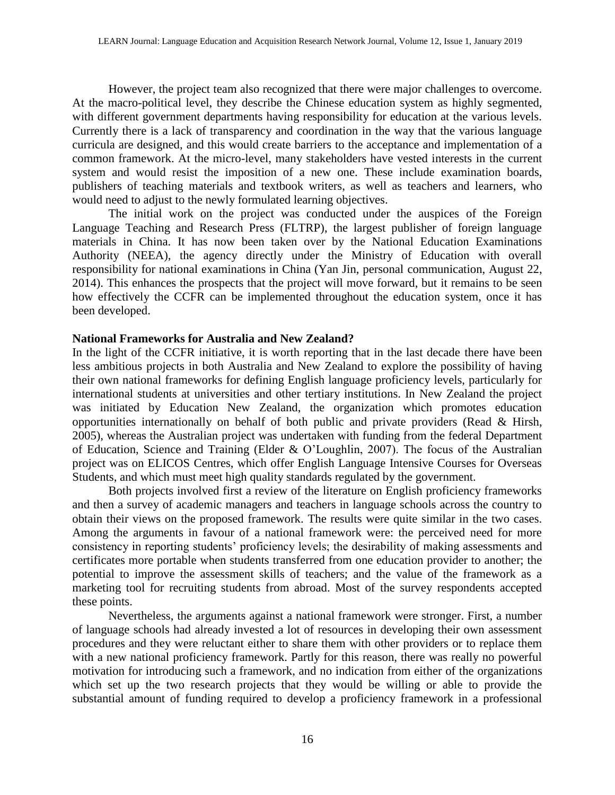However, the project team also recognized that there were major challenges to overcome. At the macro-political level, they describe the Chinese education system as highly segmented, with different government departments having responsibility for education at the various levels. Currently there is a lack of transparency and coordination in the way that the various language curricula are designed, and this would create barriers to the acceptance and implementation of a common framework. At the micro-level, many stakeholders have vested interests in the current system and would resist the imposition of a new one. These include examination boards, publishers of teaching materials and textbook writers, as well as teachers and learners, who would need to adjust to the newly formulated learning objectives.

The initial work on the project was conducted under the auspices of the Foreign Language Teaching and Research Press (FLTRP), the largest publisher of foreign language materials in China. It has now been taken over by the National Education Examinations Authority (NEEA), the agency directly under the Ministry of Education with overall responsibility for national examinations in China (Yan Jin, personal communication, August 22, 2014). This enhances the prospects that the project will move forward, but it remains to be seen how effectively the CCFR can be implemented throughout the education system, once it has been developed.

#### **National Frameworks for Australia and New Zealand?**

In the light of the CCFR initiative, it is worth reporting that in the last decade there have been less ambitious projects in both Australia and New Zealand to explore the possibility of having their own national frameworks for defining English language proficiency levels, particularly for international students at universities and other tertiary institutions. In New Zealand the project was initiated by Education New Zealand, the organization which promotes education opportunities internationally on behalf of both public and private providers (Read & Hirsh, 2005), whereas the Australian project was undertaken with funding from the federal Department of Education, Science and Training (Elder & O'Loughlin, 2007). The focus of the Australian project was on ELICOS Centres, which offer English Language Intensive Courses for Overseas Students, and which must meet high quality standards regulated by the government.

Both projects involved first a review of the literature on English proficiency frameworks and then a survey of academic managers and teachers in language schools across the country to obtain their views on the proposed framework. The results were quite similar in the two cases. Among the arguments in favour of a national framework were: the perceived need for more consistency in reporting students' proficiency levels; the desirability of making assessments and certificates more portable when students transferred from one education provider to another; the potential to improve the assessment skills of teachers; and the value of the framework as a marketing tool for recruiting students from abroad. Most of the survey respondents accepted these points.

Nevertheless, the arguments against a national framework were stronger. First, a number of language schools had already invested a lot of resources in developing their own assessment procedures and they were reluctant either to share them with other providers or to replace them with a new national proficiency framework. Partly for this reason, there was really no powerful motivation for introducing such a framework, and no indication from either of the organizations which set up the two research projects that they would be willing or able to provide the substantial amount of funding required to develop a proficiency framework in a professional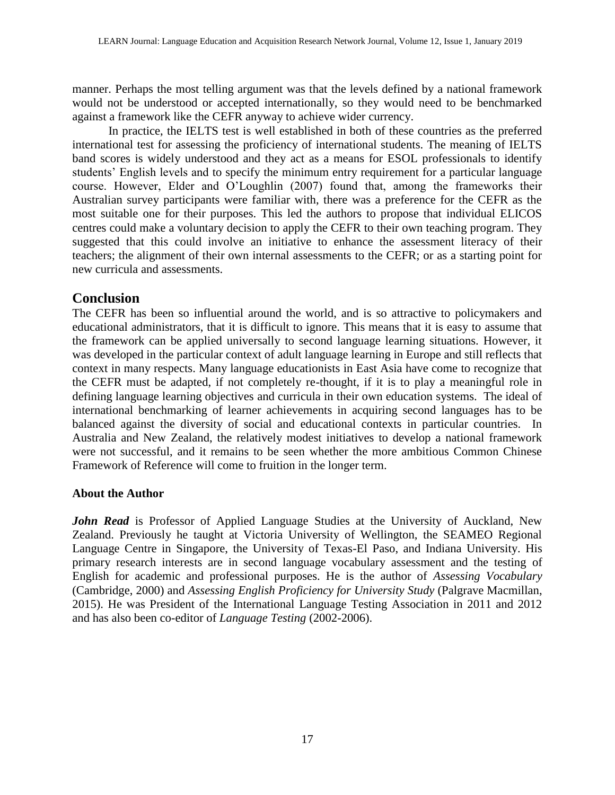manner. Perhaps the most telling argument was that the levels defined by a national framework would not be understood or accepted internationally, so they would need to be benchmarked against a framework like the CEFR anyway to achieve wider currency.

In practice, the IELTS test is well established in both of these countries as the preferred international test for assessing the proficiency of international students. The meaning of IELTS band scores is widely understood and they act as a means for ESOL professionals to identify students' English levels and to specify the minimum entry requirement for a particular language course. However, Elder and O'Loughlin (2007) found that, among the frameworks their Australian survey participants were familiar with, there was a preference for the CEFR as the most suitable one for their purposes. This led the authors to propose that individual ELICOS centres could make a voluntary decision to apply the CEFR to their own teaching program. They suggested that this could involve an initiative to enhance the assessment literacy of their teachers; the alignment of their own internal assessments to the CEFR; or as a starting point for new curricula and assessments.

# **Conclusion**

The CEFR has been so influential around the world, and is so attractive to policymakers and educational administrators, that it is difficult to ignore. This means that it is easy to assume that the framework can be applied universally to second language learning situations. However, it was developed in the particular context of adult language learning in Europe and still reflects that context in many respects. Many language educationists in East Asia have come to recognize that the CEFR must be adapted, if not completely re-thought, if it is to play a meaningful role in defining language learning objectives and curricula in their own education systems. The ideal of international benchmarking of learner achievements in acquiring second languages has to be balanced against the diversity of social and educational contexts in particular countries. In Australia and New Zealand, the relatively modest initiatives to develop a national framework were not successful, and it remains to be seen whether the more ambitious Common Chinese Framework of Reference will come to fruition in the longer term.

# **About the Author**

*John Read* is Professor of Applied Language Studies at the University of Auckland, New Zealand. Previously he taught at Victoria University of Wellington, the SEAMEO Regional Language Centre in Singapore, the University of Texas-El Paso, and Indiana University. His primary research interests are in second language vocabulary assessment and the testing of English for academic and professional purposes. He is the author of *Assessing Vocabulary*  (Cambridge, 2000) and *Assessing English Proficiency for University Study* (Palgrave Macmillan, 2015). He was President of the International Language Testing Association in 2011 and 2012 and has also been co-editor of *Language Testing* (2002-2006).